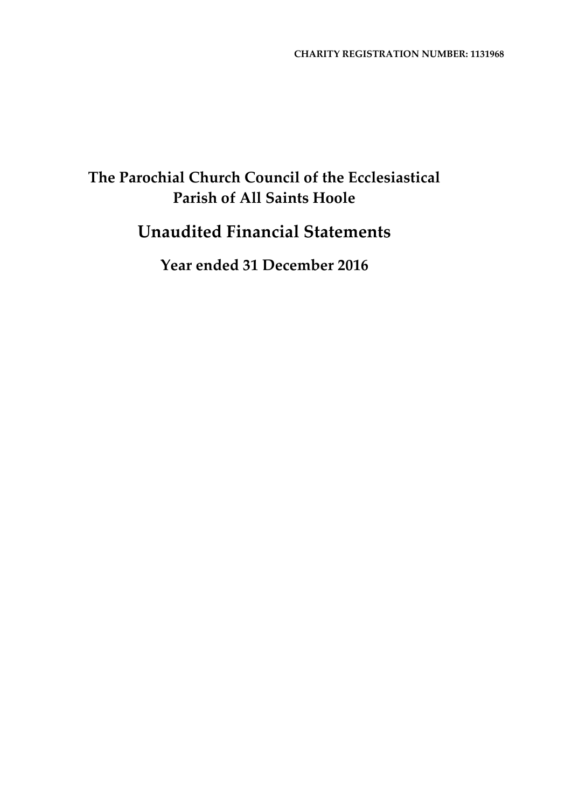# **Unaudited Financial Statements**

**Year ended 31 December 2016**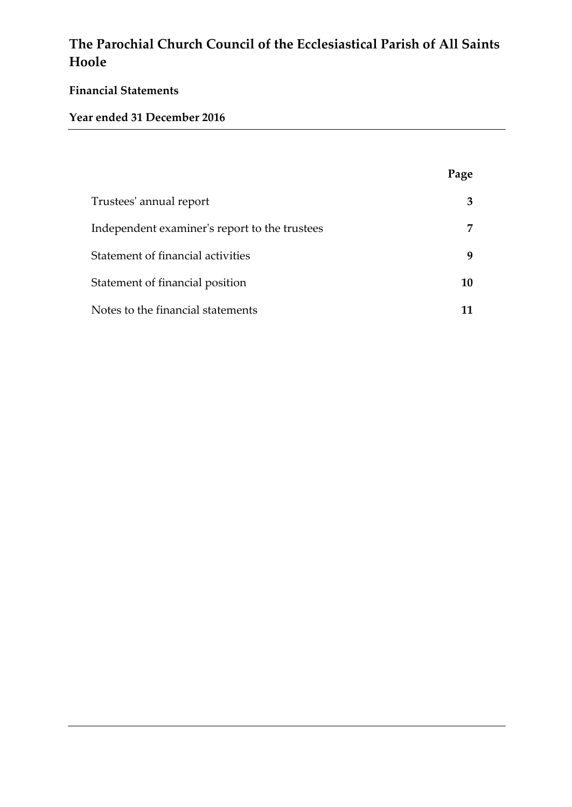# **Financial Statements**

# **Year ended 31 December 2016**

|                                               | Page |
|-----------------------------------------------|------|
| Trustees' annual report                       |      |
| Independent examiner's report to the trustees |      |
| Statement of financial activities             | q    |
| Statement of financial position               | 10   |
| Notes to the financial statements             | 11   |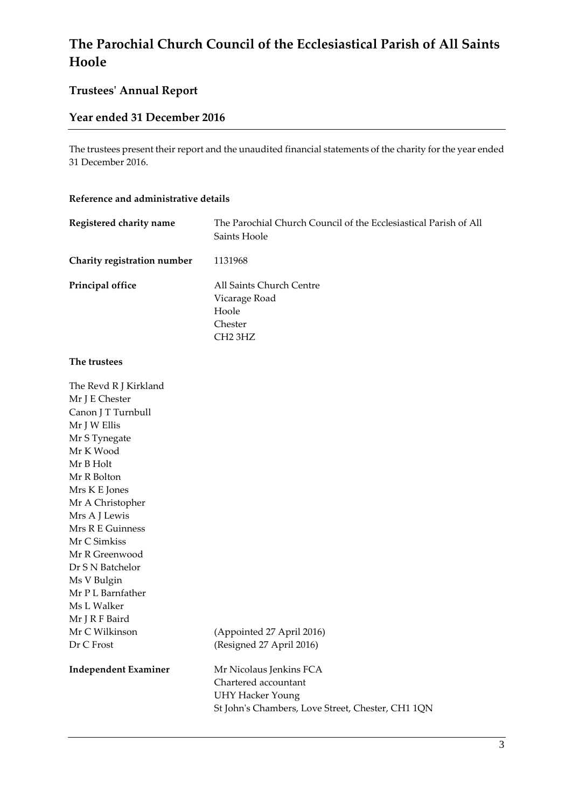# **Trustees' Annual Report**

## **Year ended 31 December 2016**

The trustees present their report and the unaudited financial statements of the charity for the year ended 31 December 2016.

#### **Reference and administrative details**

| Registered charity name     | The Parochial Church Council of the Ecclesiastical Parish of All<br>Saints Hoole |
|-----------------------------|----------------------------------------------------------------------------------|
| Charity registration number | 1131968                                                                          |
| Principal office            | All Saints Church Centre<br>Vicarage Road<br>Hoole<br>Chester<br>CH2 3HZ         |

#### **The trustees**

| The Revd R J Kirkland       |                                                   |
|-----------------------------|---------------------------------------------------|
| Mr J E Chester              |                                                   |
| Canon J T Turnbull          |                                                   |
| Mr J W Ellis                |                                                   |
| Mr S Tynegate               |                                                   |
| Mr K Wood                   |                                                   |
| Mr B Holt                   |                                                   |
| Mr R Bolton                 |                                                   |
| Mrs K E Jones               |                                                   |
| Mr A Christopher            |                                                   |
| Mrs A J Lewis               |                                                   |
| Mrs R E Guinness            |                                                   |
| Mr C Simkiss                |                                                   |
| Mr R Greenwood              |                                                   |
| Dr S N Batchelor            |                                                   |
| Ms V Bulgin                 |                                                   |
| Mr P L Barnfather           |                                                   |
| Ms L Walker                 |                                                   |
| Mr J R F Baird              |                                                   |
| Mr C Wilkinson              | (Appointed 27 April 2016)                         |
| Dr C Frost                  | (Resigned 27 April 2016)                          |
| <b>Independent Examiner</b> | Mr Nicolaus Jenkins FCA                           |
|                             | Chartered accountant                              |
|                             | <b>UHY Hacker Young</b>                           |
|                             | St John's Chambers, Love Street, Chester, CH1 1QN |
|                             |                                                   |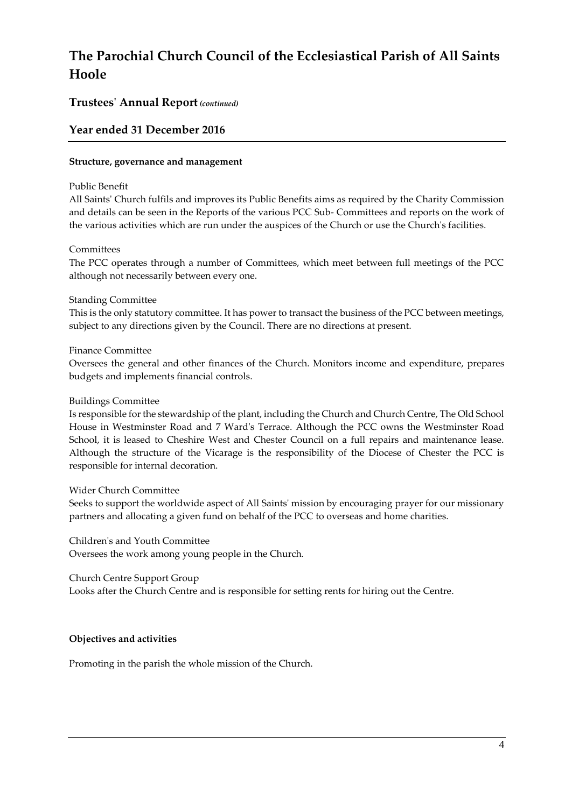## **Trustees' Annual Report** *(continued)*

## **Year ended 31 December 2016**

#### **Structure, governance and management**

#### Public Benefit

All Saints' Church fulfils and improves its Public Benefits aims as required by the Charity Commission and details can be seen in the Reports of the various PCC Sub- Committees and reports on the work of the various activities which are run under the auspices of the Church or use the Church's facilities.

### Committees

The PCC operates through a number of Committees, which meet between full meetings of the PCC although not necessarily between every one.

#### Standing Committee

This is the only statutory committee. It has power to transact the business of the PCC between meetings, subject to any directions given by the Council. There are no directions at present.

#### Finance Committee

Oversees the general and other finances of the Church. Monitors income and expenditure, prepares budgets and implements financial controls.

#### Buildings Committee

Is responsible for the stewardship of the plant, including the Church and Church Centre, The Old School House in Westminster Road and 7 Ward's Terrace. Although the PCC owns the Westminster Road School, it is leased to Cheshire West and Chester Council on a full repairs and maintenance lease. Although the structure of the Vicarage is the responsibility of the Diocese of Chester the PCC is responsible for internal decoration.

#### Wider Church Committee

Seeks to support the worldwide aspect of All Saints' mission by encouraging prayer for our missionary partners and allocating a given fund on behalf of the PCC to overseas and home charities.

Children's and Youth Committee Oversees the work among young people in the Church.

Church Centre Support Group

Looks after the Church Centre and is responsible for setting rents for hiring out the Centre.

### **Objectives and activities**

Promoting in the parish the whole mission of the Church.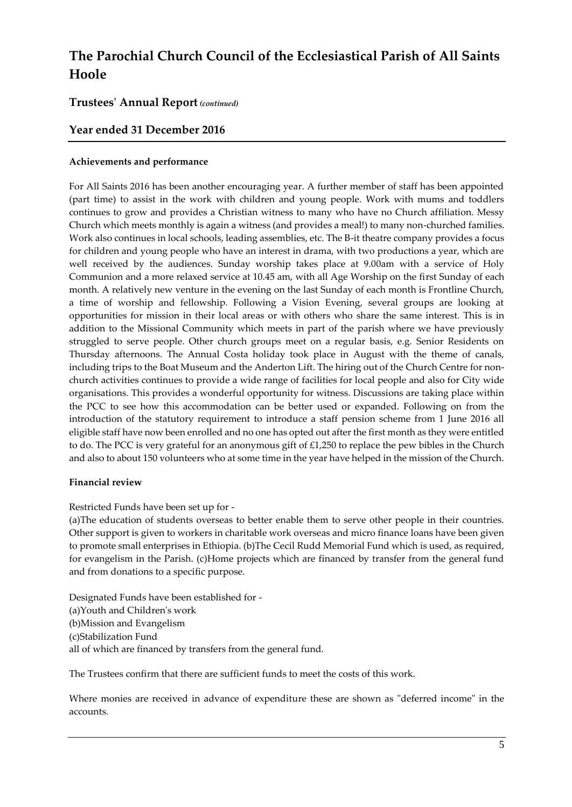### **Trustees' Annual Report** *(continued)*

## **Year ended 31 December 2016**

#### **Achievements and performance**

For All Saints 2016 has been another encouraging year. A further member of staff has been appointed (part time) to assist in the work with children and young people. Work with mums and toddlers continues to grow and provides a Christian witness to many who have no Church affiliation. Messy Church which meets monthly is again a witness (and provides a meal!) to many non-churched families. Work also continues in local schools, leading assemblies, etc. The B-it theatre company provides a focus for children and young people who have an interest in drama, with two productions a year, which are well received by the audiences. Sunday worship takes place at 9.00am with a service of Holy Communion and a more relaxed service at 10.45 am, with all Age Worship on the first Sunday of each month. A relatively new venture in the evening on the last Sunday of each month is Frontline Church, a time of worship and fellowship. Following a Vision Evening, several groups are looking at opportunities for mission in their local areas or with others who share the same interest. This is in addition to the Missional Community which meets in part of the parish where we have previously struggled to serve people. Other church groups meet on a regular basis, e.g. Senior Residents on Thursday afternoons. The Annual Costa holiday took place in August with the theme of canals, including trips to the Boat Museum and the Anderton Lift. The hiring out of the Church Centre for nonchurch activities continues to provide a wide range of facilities for local people and also for City wide organisations. This provides a wonderful opportunity for witness. Discussions are taking place within the PCC to see how this accommodation can be better used or expanded. Following on from the introduction of the statutory requirement to introduce a staff pension scheme from 1 June 2016 all eligible staff have now been enrolled and no one has opted out after the first month as they were entitled to do. The PCC is very grateful for an anonymous gift of £1,250 to replace the pew bibles in the Church and also to about 150 volunteers who at some time in the year have helped in the mission of the Church.

#### **Financial review**

Restricted Funds have been set up for -

(a)The education of students overseas to better enable them to serve other people in their countries. Other support is given to workers in charitable work overseas and micro finance loans have been given to promote small enterprises in Ethiopia. (b)The Cecil Rudd Memorial Fund which is used, as required, for evangelism in the Parish. (c)Home projects which are financed by transfer from the general fund and from donations to a specific purpose.

Designated Funds have been established for - (a)Youth and Children's work (b)Mission and Evangelism (c)Stabilization Fund all of which are financed by transfers from the general fund.

The Trustees confirm that there are sufficient funds to meet the costs of this work.

Where monies are received in advance of expenditure these are shown as "deferred income" in the accounts.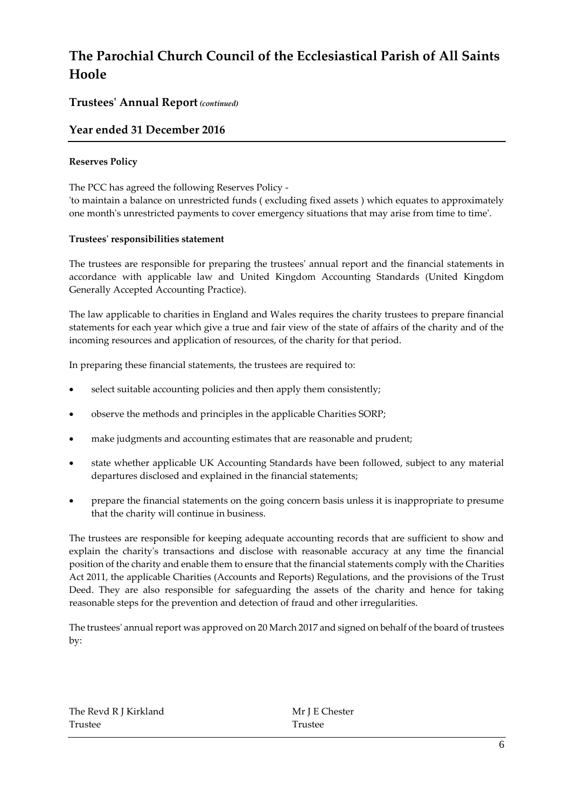## **Trustees' Annual Report** *(continued)*

## **Year ended 31 December 2016**

### **Reserves Policy**

The PCC has agreed the following Reserves Policy -

'to maintain a balance on unrestricted funds ( excluding fixed assets ) which equates to approximately one month's unrestricted payments to cover emergency situations that may arise from time to time'.

#### **Trustees' responsibilities statement**

The trustees are responsible for preparing the trustees' annual report and the financial statements in accordance with applicable law and United Kingdom Accounting Standards (United Kingdom Generally Accepted Accounting Practice).

The law applicable to charities in England and Wales requires the charity trustees to prepare financial statements for each year which give a true and fair view of the state of affairs of the charity and of the incoming resources and application of resources, of the charity for that period.

In preparing these financial statements, the trustees are required to:

- select suitable accounting policies and then apply them consistently;
- observe the methods and principles in the applicable Charities SORP;
- make judgments and accounting estimates that are reasonable and prudent;
- state whether applicable UK Accounting Standards have been followed, subject to any material departures disclosed and explained in the financial statements;
- prepare the financial statements on the going concern basis unless it is inappropriate to presume that the charity will continue in business.

The trustees are responsible for keeping adequate accounting records that are sufficient to show and explain the charity's transactions and disclose with reasonable accuracy at any time the financial position of the charity and enable them to ensure that the financial statements comply with the Charities Act 2011, the applicable Charities (Accounts and Reports) Regulations, and the provisions of the Trust Deed. They are also responsible for safeguarding the assets of the charity and hence for taking reasonable steps for the prevention and detection of fraud and other irregularities.

The trustees' annual report was approved on 20 March 2017 and signed on behalf of the board of trustees by:

| The Revd R J Kirkland |  |
|-----------------------|--|
| Trustee               |  |

Mr J E Chester **Trustee**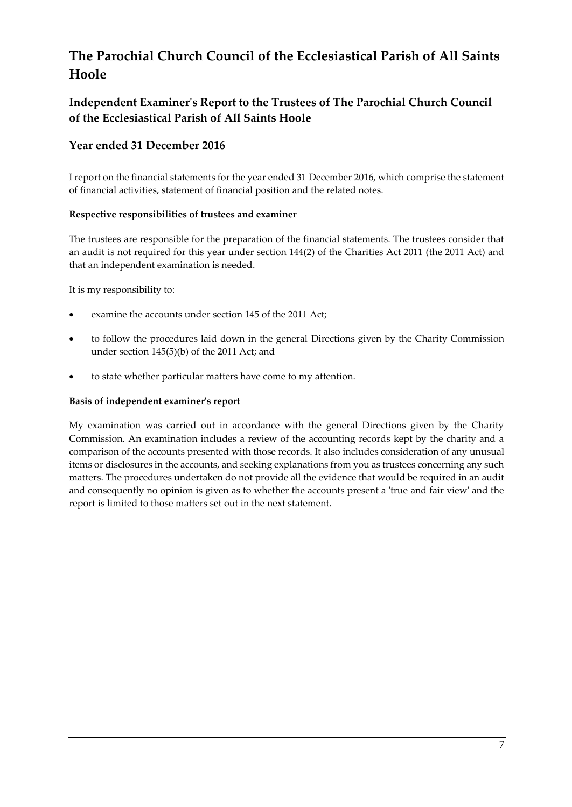# **Independent Examiner's Report to the Trustees of The Parochial Church Council of the Ecclesiastical Parish of All Saints Hoole**

## **Year ended 31 December 2016**

I report on the financial statements for the year ended 31 December 2016, which comprise the statement of financial activities, statement of financial position and the related notes.

### **Respective responsibilities of trustees and examiner**

The trustees are responsible for the preparation of the financial statements. The trustees consider that an audit is not required for this year under section 144(2) of the Charities Act 2011 (the 2011 Act) and that an independent examination is needed.

It is my responsibility to:

- examine the accounts under section 145 of the 2011 Act;
- to follow the procedures laid down in the general Directions given by the Charity Commission under section 145(5)(b) of the 2011 Act; and
- to state whether particular matters have come to my attention.

### **Basis of independent examiner's report**

My examination was carried out in accordance with the general Directions given by the Charity Commission. An examination includes a review of the accounting records kept by the charity and a comparison of the accounts presented with those records. It also includes consideration of any unusual items or disclosures in the accounts, and seeking explanations from you as trustees concerning any such matters. The procedures undertaken do not provide all the evidence that would be required in an audit and consequently no opinion is given as to whether the accounts present a 'true and fair view' and the report is limited to those matters set out in the next statement.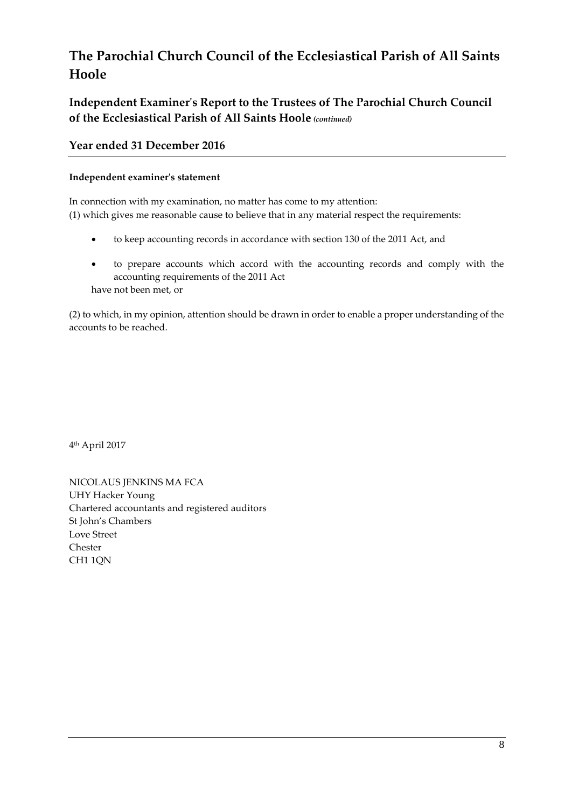**Independent Examiner's Report to the Trustees of The Parochial Church Council of the Ecclesiastical Parish of All Saints Hoole** *(continued)*

## **Year ended 31 December 2016**

#### **Independent examiner's statement**

In connection with my examination, no matter has come to my attention: (1) which gives me reasonable cause to believe that in any material respect the requirements:

- to keep accounting records in accordance with section 130 of the 2011 Act, and
- to prepare accounts which accord with the accounting records and comply with the accounting requirements of the 2011 Act have not been met, or

(2) to which, in my opinion, attention should be drawn in order to enable a proper understanding of the accounts to be reached.

4 th April 2017

NICOLAUS JENKINS MA FCA UHY Hacker Young Chartered accountants and registered auditors St John's Chambers Love Street Chester CH1 1QN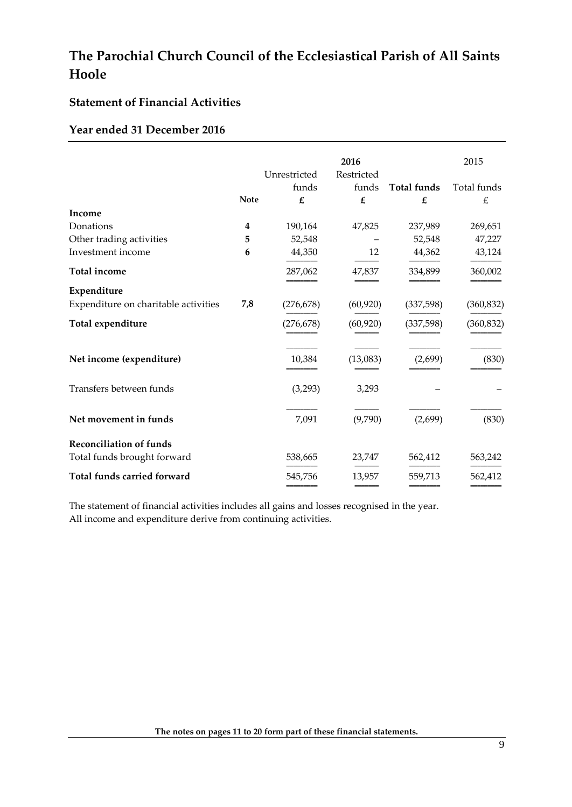## **Statement of Financial Activities**

### **Year ended 31 December 2016**

|                                      |             |              | 2016       |                    | 2015        |
|--------------------------------------|-------------|--------------|------------|--------------------|-------------|
|                                      |             | Unrestricted | Restricted |                    |             |
|                                      |             | funds        | funds      | <b>Total funds</b> | Total funds |
|                                      | <b>Note</b> | £            | £          | $\pmb{\mathit{f}}$ | £           |
| Income                               |             |              |            |                    |             |
| Donations                            | 4           | 190,164      | 47,825     | 237,989            | 269,651     |
| Other trading activities             | 5           | 52,548       |            | 52,548             | 47,227      |
| Investment income                    | 6           | 44,350       | 12         | 44,362             | 43,124      |
| <b>Total income</b>                  |             | 287,062      | 47,837     | 334,899            | 360,002     |
| Expenditure                          |             |              |            |                    |             |
| Expenditure on charitable activities | 7,8         | (276, 678)   | (60, 920)  | (337, 598)         | (360, 832)  |
| Total expenditure                    |             | (276, 678)   | (60, 920)  | (337,598)          | (360, 832)  |
| Net income (expenditure)             |             | 10,384       | (13,083)   | (2,699)            | (830)       |
| Transfers between funds              |             | (3,293)      | 3,293      |                    |             |
| Net movement in funds                |             | 7,091        | (9,790)    | (2,699)            | (830)       |
| <b>Reconciliation of funds</b>       |             |              |            |                    |             |
| Total funds brought forward          |             | 538,665      | 23,747     | 562,412            | 563,242     |
| Total funds carried forward          |             | 545,756      | 13,957     | 559,713            | 562,412     |

The statement of financial activities includes all gains and losses recognised in the year. All income and expenditure derive from continuing activities.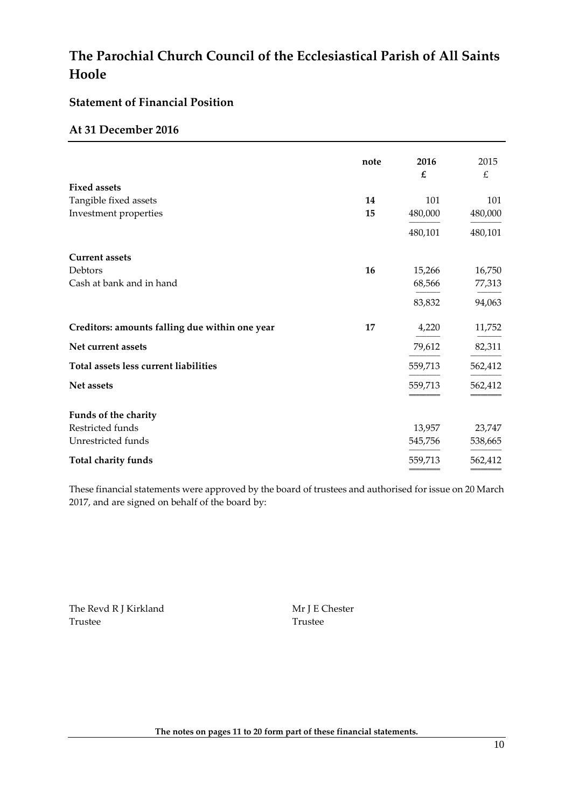## **Statement of Financial Position**

### **At 31 December 2016**

|                                                | note | 2016    | 2015    |
|------------------------------------------------|------|---------|---------|
|                                                |      | £       | £       |
| <b>Fixed assets</b>                            |      |         |         |
| Tangible fixed assets                          | 14   | 101     | 101     |
| Investment properties                          | 15   | 480,000 | 480,000 |
|                                                |      | 480,101 | 480,101 |
| <b>Current assets</b>                          |      |         |         |
| Debtors                                        | 16   | 15,266  | 16,750  |
| Cash at bank and in hand                       |      | 68,566  | 77,313  |
|                                                |      | 83,832  | 94,063  |
| Creditors: amounts falling due within one year | 17   | 4,220   | 11,752  |
| Net current assets                             |      | 79,612  | 82,311  |
| Total assets less current liabilities          |      | 559,713 | 562,412 |
| Net assets                                     |      | 559,713 | 562,412 |
| Funds of the charity                           |      |         |         |
| Restricted funds                               |      | 13,957  | 23,747  |
| Unrestricted funds                             |      | 545,756 | 538,665 |
| Total charity funds                            |      | 559,713 | 562,412 |

These financial statements were approved by the board of trustees and authorised for issue on 20 March 2017, and are signed on behalf of the board by:

The Revd R J Kirkland Mr J E Chester Trustee Trustee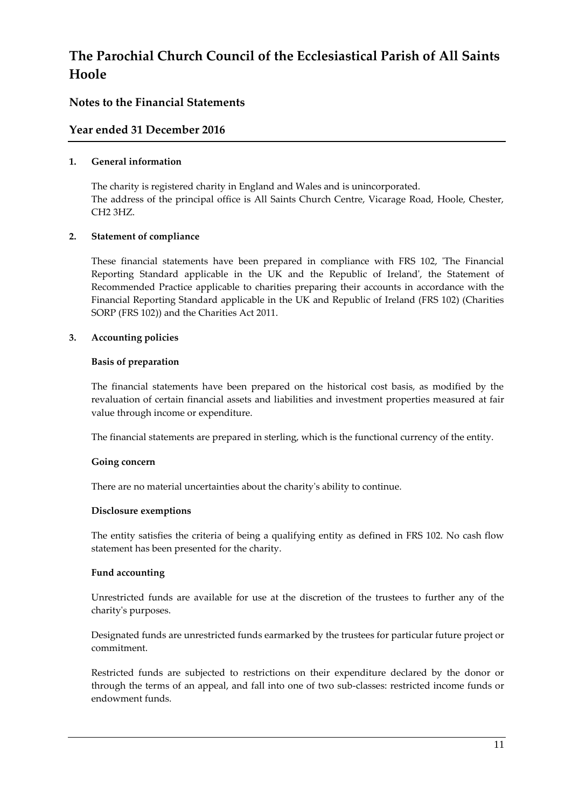## **Notes to the Financial Statements**

## **Year ended 31 December 2016**

### **1. General information**

The charity is registered charity in England and Wales and is unincorporated. The address of the principal office is All Saints Church Centre, Vicarage Road, Hoole, Chester, CH2 3HZ.

### **2. Statement of compliance**

These financial statements have been prepared in compliance with FRS 102, 'The Financial Reporting Standard applicable in the UK and the Republic of Ireland', the Statement of Recommended Practice applicable to charities preparing their accounts in accordance with the Financial Reporting Standard applicable in the UK and Republic of Ireland (FRS 102) (Charities SORP (FRS 102)) and the Charities Act 2011.

### **3. Accounting policies**

### **Basis of preparation**

The financial statements have been prepared on the historical cost basis, as modified by the revaluation of certain financial assets and liabilities and investment properties measured at fair value through income or expenditure.

The financial statements are prepared in sterling, which is the functional currency of the entity.

### **Going concern**

There are no material uncertainties about the charity's ability to continue.

### **Disclosure exemptions**

The entity satisfies the criteria of being a qualifying entity as defined in FRS 102. No cash flow statement has been presented for the charity.

### **Fund accounting**

Unrestricted funds are available for use at the discretion of the trustees to further any of the charity's purposes.

Designated funds are unrestricted funds earmarked by the trustees for particular future project or commitment.

Restricted funds are subjected to restrictions on their expenditure declared by the donor or through the terms of an appeal, and fall into one of two sub-classes: restricted income funds or endowment funds.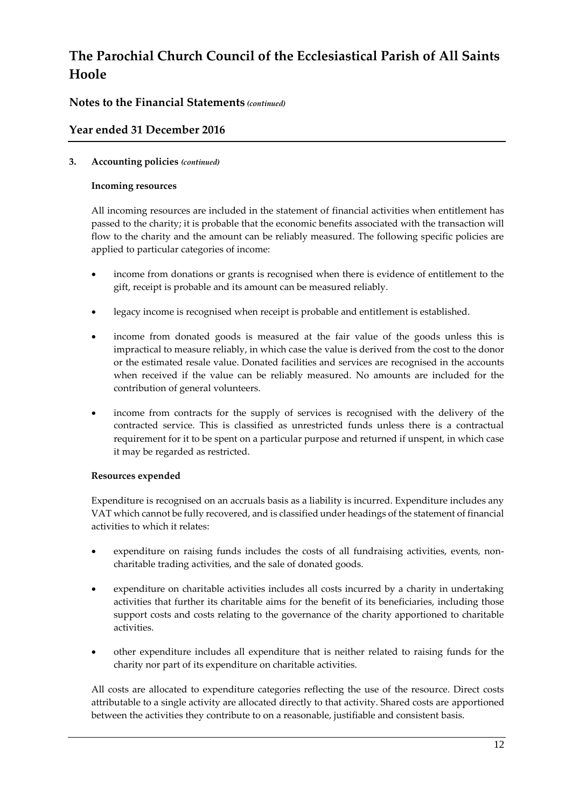## **Notes to the Financial Statements** *(continued)*

## **Year ended 31 December 2016**

### **3. Accounting policies** *(continued)*

#### **Incoming resources**

All incoming resources are included in the statement of financial activities when entitlement has passed to the charity; it is probable that the economic benefits associated with the transaction will flow to the charity and the amount can be reliably measured. The following specific policies are applied to particular categories of income:

- income from donations or grants is recognised when there is evidence of entitlement to the gift, receipt is probable and its amount can be measured reliably.
- legacy income is recognised when receipt is probable and entitlement is established.
- income from donated goods is measured at the fair value of the goods unless this is impractical to measure reliably, in which case the value is derived from the cost to the donor or the estimated resale value. Donated facilities and services are recognised in the accounts when received if the value can be reliably measured. No amounts are included for the contribution of general volunteers.
- income from contracts for the supply of services is recognised with the delivery of the contracted service. This is classified as unrestricted funds unless there is a contractual requirement for it to be spent on a particular purpose and returned if unspent, in which case it may be regarded as restricted.

### **Resources expended**

Expenditure is recognised on an accruals basis as a liability is incurred. Expenditure includes any VAT which cannot be fully recovered, and is classified under headings of the statement of financial activities to which it relates:

- expenditure on raising funds includes the costs of all fundraising activities, events, noncharitable trading activities, and the sale of donated goods.
- expenditure on charitable activities includes all costs incurred by a charity in undertaking activities that further its charitable aims for the benefit of its beneficiaries, including those support costs and costs relating to the governance of the charity apportioned to charitable activities.
- other expenditure includes all expenditure that is neither related to raising funds for the charity nor part of its expenditure on charitable activities.

All costs are allocated to expenditure categories reflecting the use of the resource. Direct costs attributable to a single activity are allocated directly to that activity. Shared costs are apportioned between the activities they contribute to on a reasonable, justifiable and consistent basis.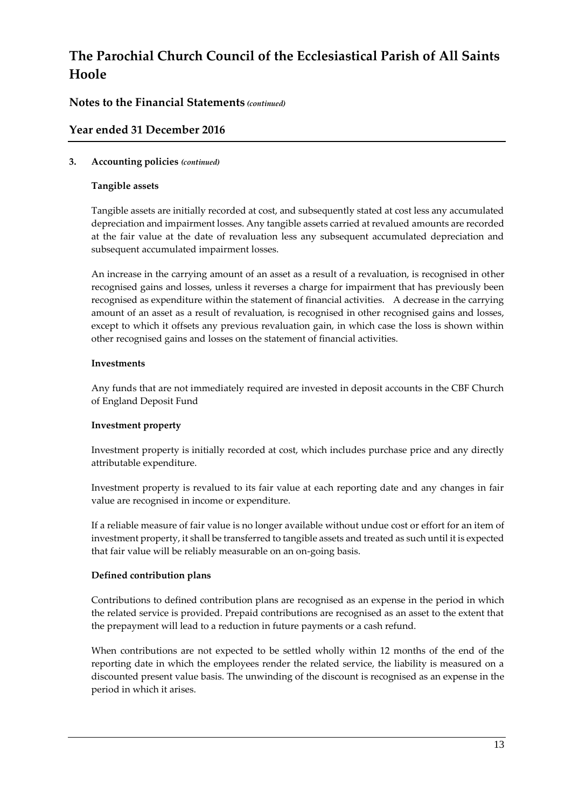## **Notes to the Financial Statements** *(continued)*

## **Year ended 31 December 2016**

### **3. Accounting policies** *(continued)*

### **Tangible assets**

Tangible assets are initially recorded at cost, and subsequently stated at cost less any accumulated depreciation and impairment losses. Any tangible assets carried at revalued amounts are recorded at the fair value at the date of revaluation less any subsequent accumulated depreciation and subsequent accumulated impairment losses.

An increase in the carrying amount of an asset as a result of a revaluation, is recognised in other recognised gains and losses, unless it reverses a charge for impairment that has previously been recognised as expenditure within the statement of financial activities. A decrease in the carrying amount of an asset as a result of revaluation, is recognised in other recognised gains and losses, except to which it offsets any previous revaluation gain, in which case the loss is shown within other recognised gains and losses on the statement of financial activities.

### **Investments**

Any funds that are not immediately required are invested in deposit accounts in the CBF Church of England Deposit Fund

### **Investment property**

Investment property is initially recorded at cost, which includes purchase price and any directly attributable expenditure.

Investment property is revalued to its fair value at each reporting date and any changes in fair value are recognised in income or expenditure.

If a reliable measure of fair value is no longer available without undue cost or effort for an item of investment property, it shall be transferred to tangible assets and treated as such until it is expected that fair value will be reliably measurable on an on-going basis.

### **Defined contribution plans**

Contributions to defined contribution plans are recognised as an expense in the period in which the related service is provided. Prepaid contributions are recognised as an asset to the extent that the prepayment will lead to a reduction in future payments or a cash refund.

When contributions are not expected to be settled wholly within 12 months of the end of the reporting date in which the employees render the related service, the liability is measured on a discounted present value basis. The unwinding of the discount is recognised as an expense in the period in which it arises.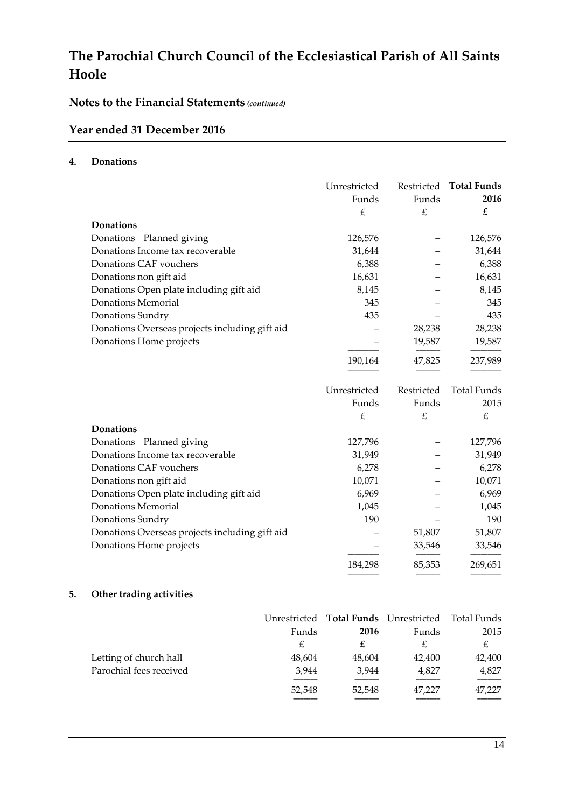# **Notes to the Financial Statements** *(continued)*

## **Year ended 31 December 2016**

#### **4. Donations**

|                                                | Unrestricted<br>Funds | Funds      | Restricted Total Funds<br>2016 |
|------------------------------------------------|-----------------------|------------|--------------------------------|
|                                                | £                     | £          | $\pmb{\mathit{f}}$             |
| <b>Donations</b>                               |                       |            |                                |
| Donations Planned giving                       | 126,576               |            | 126,576                        |
| Donations Income tax recoverable               | 31,644                |            | 31,644                         |
| Donations CAF vouchers                         | 6,388                 |            | 6,388                          |
| Donations non gift aid                         | 16,631                |            | 16,631                         |
| Donations Open plate including gift aid        | 8,145                 |            | 8,145                          |
| <b>Donations Memorial</b>                      | 345                   |            | 345                            |
| Donations Sundry                               | 435                   |            | 435                            |
| Donations Overseas projects including gift aid |                       | 28,238     | 28,238                         |
| Donations Home projects                        |                       | 19,587     | 19,587                         |
|                                                | 190,164               | 47,825     | 237,989                        |
|                                                | Unrestricted          | Restricted | Total Funds                    |
|                                                | Funds                 | Funds      | 2015                           |
|                                                | £                     | £          | £                              |
| <b>Donations</b>                               |                       |            |                                |
| Donations Planned giving                       | 127,796               |            | 127,796                        |
| Donations Income tax recoverable               | 31,949                |            | 31,949                         |
| Donations CAF vouchers                         | 6,278                 |            | 6,278                          |
| Donations non gift aid                         | 10,071                |            | 10,071                         |
| Donations Open plate including gift aid        | 6,969                 |            | 6,969                          |
| <b>Donations Memorial</b>                      | 1,045                 |            | 1,045                          |
| Donations Sundry                               | 190                   |            | 190                            |
| Donations Overseas projects including gift aid |                       | 51,807     | 51,807                         |
| Donations Home projects                        |                       | 33,546     | 33,546                         |
|                                                | 184,298               | 85,353     | 269,651                        |

## **5. Other trading activities**

|                         |        |        | Unrestricted Total Funds Unrestricted Total Funds |        |
|-------------------------|--------|--------|---------------------------------------------------|--------|
|                         | Funds  | 2016   | Funds                                             | 2015   |
|                         | £      |        | £                                                 | £      |
| Letting of church hall  | 48,604 | 48,604 | 42.400                                            | 42,400 |
| Parochial fees received | 3.944  | 3.944  | 4,827                                             | 4,827  |
|                         | 52,548 | 52,548 | 47.227                                            | 47,227 |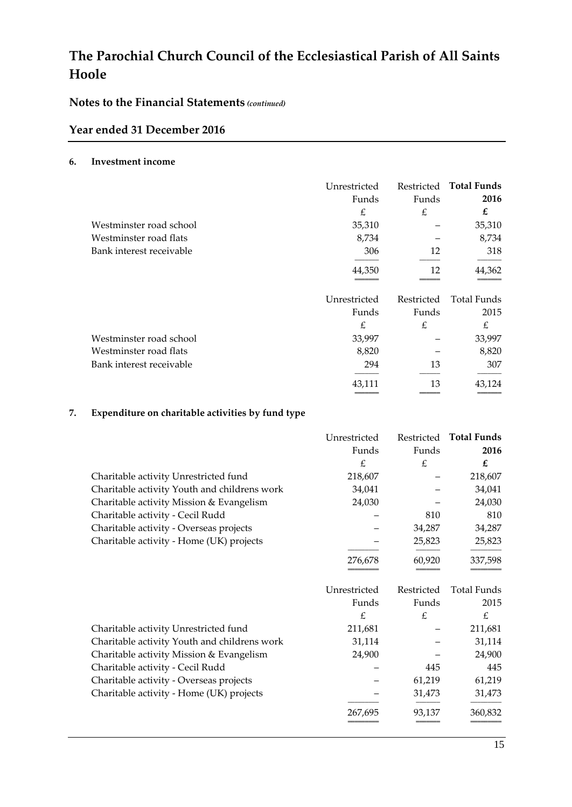## **Notes to the Financial Statements** *(continued)*

## **Year ended 31 December 2016**

#### **6. Investment income**

|                          | Unrestricted |            | Restricted Total Funds |
|--------------------------|--------------|------------|------------------------|
|                          | Funds        | Funds      | 2016                   |
|                          | £            | £          | £                      |
| Westminster road school  | 35,310       |            | 35,310                 |
| Westminster road flats   | 8,734        |            | 8,734                  |
| Bank interest receivable | 306          | 12         | 318                    |
|                          | 44,350       | 12         | 44,362                 |
|                          | Unrestricted | Restricted | Total Funds            |
|                          | Funds        | Funds      | 2015                   |
|                          | £            | £          | £                      |
| Westminster road school  | 33,997       |            | 33,997                 |
| Westminster road flats   | 8,820        |            | 8,820                  |
| Bank interest receivable | 294          | 13         | 307                    |
|                          | 43,111       | 13         | 43,124                 |

### **7. Expenditure on charitable activities by fund type**

|                                              | Unrestricted |            | Restricted Total Funds |
|----------------------------------------------|--------------|------------|------------------------|
|                                              | Funds        | Funds      | 2016                   |
|                                              | £            | £          | £                      |
| Charitable activity Unrestricted fund        | 218,607      |            | 218,607                |
| Charitable activity Youth and childrens work | 34,041       |            | 34,041                 |
| Charitable activity Mission & Evangelism     | 24,030       |            | 24,030                 |
| Charitable activity - Cecil Rudd             |              | 810        | 810                    |
| Charitable activity - Overseas projects      |              | 34,287     | 34,287                 |
| Charitable activity - Home (UK) projects     |              | 25,823     | 25,823                 |
|                                              | 276,678      | 60,920     | 337,598                |
|                                              | Unrestricted | Restricted | Total Funds            |
|                                              | Funds        | Funds      | 2015                   |
|                                              | £            | £          | £                      |
| Charitable activity Unrestricted fund        | 211,681      |            | 211,681                |
| Charitable activity Youth and childrens work | 31,114       |            | 31,114                 |
| Charitable activity Mission & Evangelism     | 24,900       |            | 24,900                 |
| Charitable activity - Cecil Rudd             |              | 445        | 445                    |
| Charitable activity - Overseas projects      |              | 61,219     | 61,219                 |
| Charitable activity - Home (UK) projects     |              | 31,473     | 31,473                 |
|                                              | 267,695      | 93,137     | 360,832                |
|                                              |              |            |                        |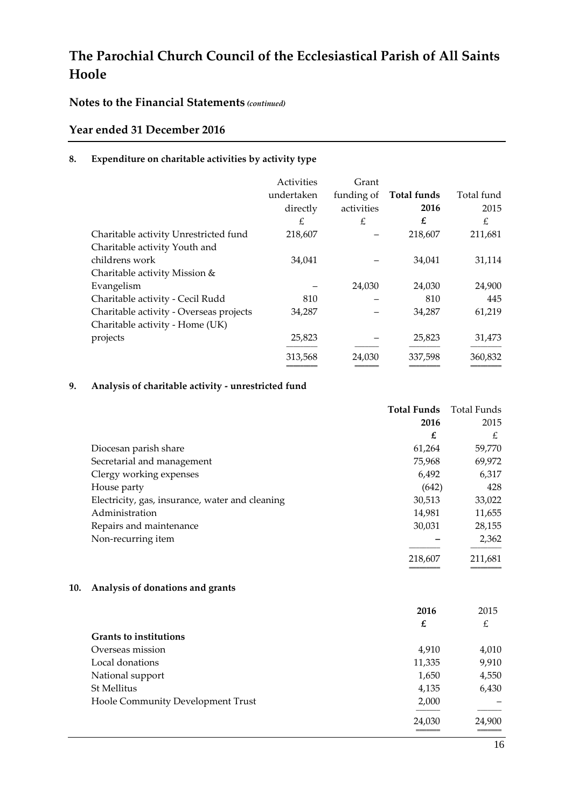## **Notes to the Financial Statements** *(continued)*

## **Year ended 31 December 2016**

### **8. Expenditure on charitable activities by activity type**

|                                         | Activities | Grant      |             |            |
|-----------------------------------------|------------|------------|-------------|------------|
|                                         | undertaken | funding of | Total funds | Total fund |
|                                         | directly   | activities | 2016        | 2015       |
|                                         | £          | £          | £           | £          |
| Charitable activity Unrestricted fund   | 218,607    |            | 218,607     | 211,681    |
| Charitable activity Youth and           |            |            |             |            |
| childrens work                          | 34,041     |            | 34,041      | 31,114     |
| Charitable activity Mission &           |            |            |             |            |
| Evangelism                              |            | 24,030     | 24,030      | 24,900     |
| Charitable activity - Cecil Rudd        | 810        |            | 810         | 445        |
| Charitable activity - Overseas projects | 34,287     |            | 34,287      | 61,219     |
| Charitable activity - Home (UK)         |            |            |             |            |
| projects                                | 25,823     |            | 25,823      | 31,473     |
|                                         | 313,568    | 24.030     | 337,598     | 360,832    |
|                                         |            |            |             |            |

## **9. Analysis of charitable activity - unrestricted fund**

|                                                 | <b>Total Funds</b> | Total Funds |
|-------------------------------------------------|--------------------|-------------|
|                                                 | 2016               | 2015        |
|                                                 | £                  | £           |
| Diocesan parish share                           | 61,264             | 59,770      |
| Secretarial and management                      | 75,968             | 69,972      |
| Clergy working expenses                         | 6,492              | 6,317       |
| House party                                     | (642)              | 428         |
| Electricity, gas, insurance, water and cleaning | 30,513             | 33,022      |
| Administration                                  | 14,981             | 11,655      |
| Repairs and maintenance                         | 30,031             | 28,155      |
| Non-recurring item                              |                    | 2,362       |
|                                                 | 218,607            | 211,681     |
|                                                 |                    |             |

#### **10. Analysis of donations and grants**

|                                   | 2016   | 2015   |
|-----------------------------------|--------|--------|
|                                   | £      | £      |
| <b>Grants to institutions</b>     |        |        |
| Overseas mission                  | 4,910  | 4,010  |
| Local donations                   | 11,335 | 9,910  |
| National support                  | 1,650  | 4,550  |
| St Mellitus                       | 4,135  | 6,430  |
| Hoole Community Development Trust | 2,000  |        |
|                                   |        |        |
|                                   | 24,030 | 24,900 |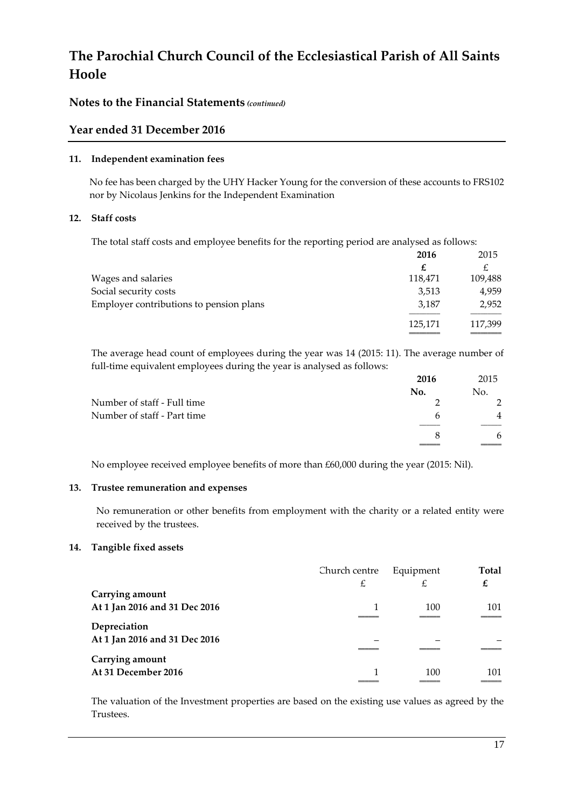### **Notes to the Financial Statements** *(continued)*

### **Year ended 31 December 2016**

#### **11. Independent examination fees**

No fee has been charged by the UHY Hacker Young for the conversion of these accounts to FRS102 nor by Nicolaus Jenkins for the Independent Examination

#### **12. Staff costs**

The total staff costs and employee benefits for the reporting period are analysed as follows:

|                                         | 2016    | 2015    |
|-----------------------------------------|---------|---------|
|                                         | £       |         |
| Wages and salaries                      | 118,471 | 109,488 |
| Social security costs                   | 3,513   | 4,959   |
| Employer contributions to pension plans | 3.187   | 2,952   |
|                                         | 125,171 | 117,399 |
|                                         |         |         |

The average head count of employees during the year was 14 (2015: 11). The average number of full-time equivalent employees during the year is analysed as follows:

|                             | 2016 | 2015           |
|-----------------------------|------|----------------|
|                             | No.  | No.            |
| Number of staff - Full time |      |                |
| Number of staff - Part time | h    | $\overline{4}$ |
|                             |      |                |
|                             |      | 6              |
|                             |      |                |

No employee received employee benefits of more than £60,000 during the year (2015: Nil).

#### **13. Trustee remuneration and expenses**

No remuneration or other benefits from employment with the charity or a related entity were received by the trustees.

#### **14. Tangible fixed assets**

|                               | Church centre | Equipment | <b>Total</b> |
|-------------------------------|---------------|-----------|--------------|
|                               | £             | £         | £            |
| Carrying amount               |               |           |              |
| At 1 Jan 2016 and 31 Dec 2016 |               | 100       | 101          |
|                               |               |           |              |
| Depreciation                  |               |           |              |
| At 1 Jan 2016 and 31 Dec 2016 |               |           |              |
|                               |               |           |              |
| Carrying amount               |               |           |              |
| At 31 December 2016           |               | 100       | 101          |
|                               |               |           |              |

The valuation of the Investment properties are based on the existing use values as agreed by the Trustees.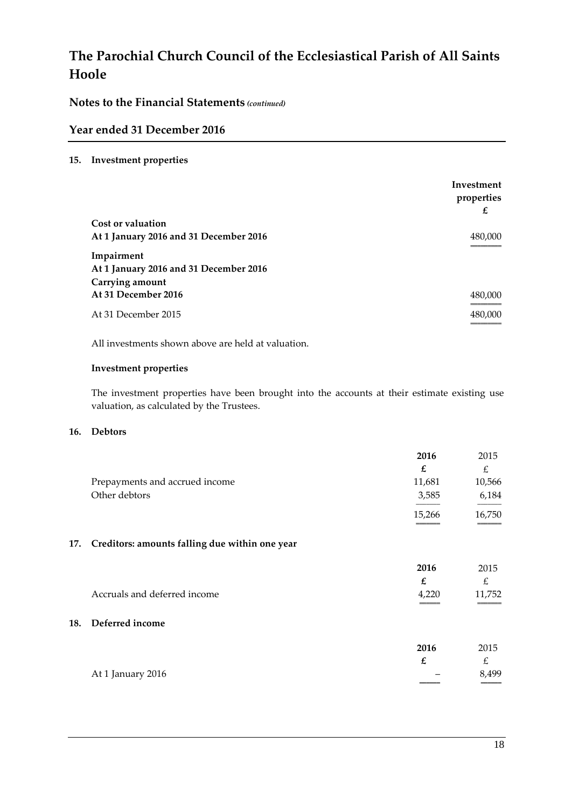**Notes to the Financial Statements** *(continued)*

### **Year ended 31 December 2016**

#### **15. Investment properties**

|                                                      | Investment<br>properties<br>£ |
|------------------------------------------------------|-------------------------------|
| Cost or valuation                                    |                               |
| At 1 January 2016 and 31 December 2016               | 480,000                       |
| Impairment<br>At 1 January 2016 and 31 December 2016 |                               |
| Carrying amount<br>At 31 December 2016               | 480,000                       |
|                                                      |                               |
| At 31 December 2015                                  | 480,000                       |

All investments shown above are held at valuation.

### **Investment properties**

The investment properties have been brought into the accounts at their estimate existing use valuation, as calculated by the Trustees.

#### **16. Debtors**

|     |                                                | 2016<br>£ | 2015<br>£             |
|-----|------------------------------------------------|-----------|-----------------------|
|     | Prepayments and accrued income                 | 11,681    | 10,566                |
|     | Other debtors                                  | 3,585     | 6,184                 |
|     |                                                | 15,266    | 16,750                |
| 17. | Creditors: amounts falling due within one year |           |                       |
|     |                                                | 2016      | 2015                  |
|     |                                                | £         | £                     |
|     | Accruals and deferred income                   | 4,220     | 11,752                |
| 18. | Deferred income                                |           |                       |
|     |                                                | 0.01C     | $0.01$ $\blacksquare$ |

|                   | 2016                     | 2015          |
|-------------------|--------------------------|---------------|
|                   |                          | $\mathcal{L}$ |
| At 1 January 2016 | $\overline{\phantom{0}}$ | 8,499         |
|                   |                          | ____          |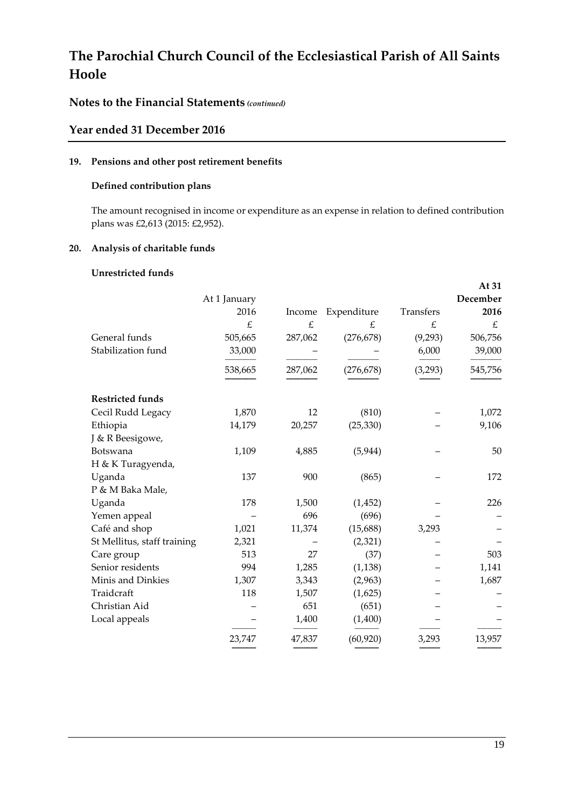## **Notes to the Financial Statements** *(continued)*

### **Year ended 31 December 2016**

#### **19. Pensions and other post retirement benefits**

#### **Defined contribution plans**

The amount recognised in income or expenditure as an expense in relation to defined contribution plans was £2,613 (2015: £2,952).

#### **20. Analysis of charitable funds**

#### **Unrestricted funds**

|              |         |             |           | At 31    |
|--------------|---------|-------------|-----------|----------|
| At 1 January |         |             |           | December |
| 2016         | Income  | Expenditure | Transfers | 2016     |
| £            | £       | £           | £         | £        |
| 505,665      | 287,062 | (276, 678)  | (9,293)   | 506,756  |
| 33,000       |         |             | 6,000     | 39,000   |
| 538,665      | 287,062 | (276, 678)  | (3, 293)  | 545,756  |
|              |         |             |           |          |
| 1,870        | 12      | (810)       |           | 1,072    |
| 14,179       | 20,257  | (25, 330)   |           | 9,106    |
|              |         |             |           |          |
| 1,109        | 4,885   | (5, 944)    |           | 50       |
|              |         |             |           |          |
| 137          | 900     | (865)       |           | 172      |
|              |         |             |           |          |
| 178          | 1,500   | (1, 452)    |           | 226      |
|              | 696     | (696)       |           |          |
| 1,021        | 11,374  | (15,688)    | 3,293     |          |
| 2,321        |         | (2,321)     |           |          |
| 513          | 27      | (37)        |           | 503      |
| 994          | 1,285   | (1, 138)    |           | 1,141    |
| 1,307        | 3,343   | (2,963)     |           | 1,687    |
| 118          | 1,507   | (1,625)     |           |          |
|              | 651     | (651)       |           |          |
|              | 1,400   | (1,400)     |           |          |
| 23,747       | 47,837  | (60, 920)   | 3,293     | 13,957   |
|              |         |             |           |          |